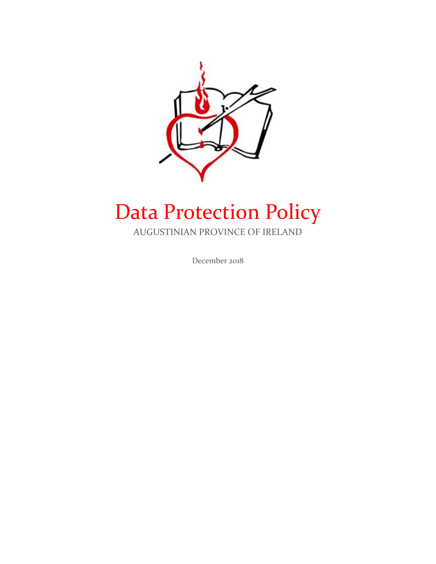

# Data Protection Policy

AUGUSTINIAN PROVINCE OF IRELAND

December 2018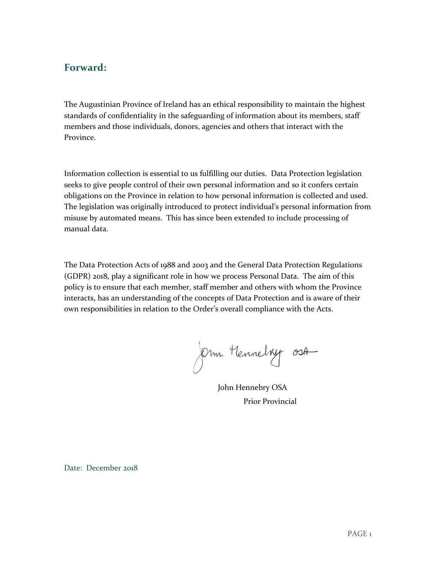# **Forward:**

The Augustinian Province of Ireland has an ethical responsibility to maintain the highest standards of confidentiality in the safeguarding of information about its members, staff members and those individuals, donors, agencies and others that interact with the Province.

Information collection is essential to us fulfilling our duties. Data Protection legislation seeks to give people control of their own personal information and so it confers certain obligations on the Province in relation to how personal information is collected and used. The legislation was originally introduced to protect individual's personal information from misuse by automated means. This has since been extended to include processing of manual data.

The Data Protection Acts of 1988 and 2003 and the General Data Protection Regulations (GDPR) 2018, play a significant role in how we process Personal Data. The aim of this policy is to ensure that each member, staff member and others with whom the Province interacts, has an understanding of the concepts of Data Protection and is aware of their own responsibilities in relation to the Order's overall compliance with the Acts.

Om Hennelvy 03A

John Hennebry OSA Prior Provincial

Date: December 2018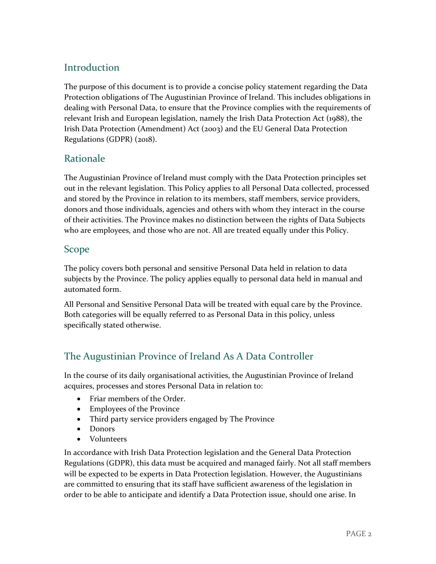# **Introduction**

The purpose of this document is to provide a concise policy statement regarding the Data Protection obligations of The Augustinian Province of Ireland. This includes obligations in dealing with Personal Data, to ensure that the Province complies with the requirements of relevant Irish and European legislation, namely the Irish Data Protection Act (1988), the Irish Data Protection (Amendment) Act (2003) and the EU General Data Protection Regulations (GDPR) (2018).

# Rationale

The Augustinian Province of Ireland must comply with the Data Protection principles set out in the relevant legislation. This Policy applies to all Personal Data collected, processed and stored by the Province in relation to its members, staff members, service providers, donors and those individuals, agencies and others with whom they interact in the course of their activities. The Province makes no distinction between the rights of Data Subjects who are employees, and those who are not. All are treated equally under this Policy.

# Scope

The policy covers both personal and sensitive Personal Data held in relation to data subjects by the Province. The policy applies equally to personal data held in manual and automated form.

All Personal and Sensitive Personal Data will be treated with equal care by the Province. Both categories will be equally referred to as Personal Data in this policy, unless specifically stated otherwise.

# The Augustinian Province of Ireland As A Data Controller

In the course of its daily organisational activities, the Augustinian Province of Ireland acquires, processes and stores Personal Data in relation to:

- Friar members of the Order.
- Employees of the Province
- Third party service providers engaged by The Province
- Donors
- Volunteers

In accordance with Irish Data Protection legislation and the General Data Protection Regulations (GDPR), this data must be acquired and managed fairly. Not all staff members will be expected to be experts in Data Protection legislation. However, the Augustinians are committed to ensuring that its staff have sufficient awareness of the legislation in order to be able to anticipate and identify a Data Protection issue, should one arise. In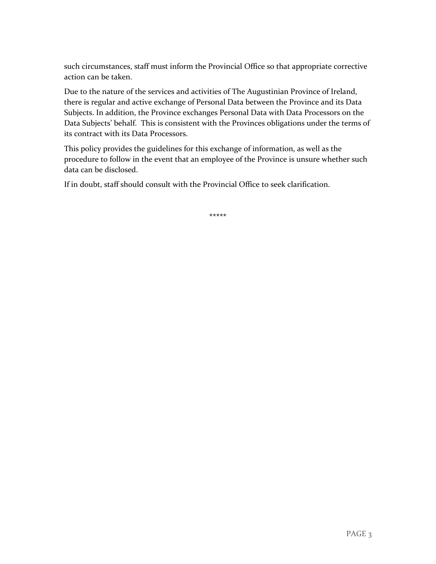such circumstances, staff must inform the Provincial Office so that appropriate corrective action can be taken.

Due to the nature of the services and activities of The Augustinian Province of Ireland, there is regular and active exchange of Personal Data between the Province and its Data Subjects. In addition, the Province exchanges Personal Data with Data Processors on the Data Subjects' behalf. This is consistent with the Provinces obligations under the terms of its contract with its Data Processors.

This policy provides the guidelines for this exchange of information, as well as the procedure to follow in the event that an employee of the Province is unsure whether such data can be disclosed.

If in doubt, staff should consult with the Provincial Office to seek clarification.

**\*\*\*\*\***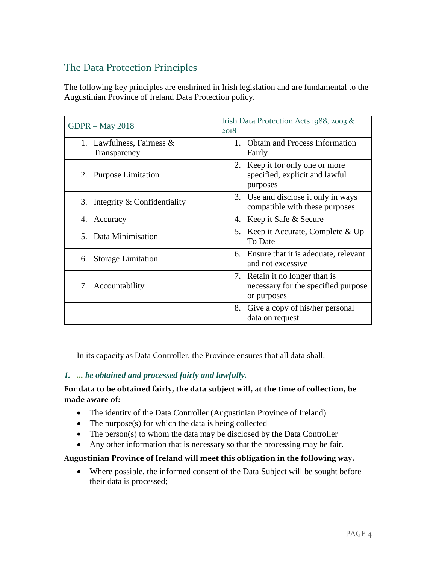# The Data Protection Principles

The following key principles are enshrined in Irish legislation and are fundamental to the Augustinian Province of Ireland Data Protection policy.

| $GDPR - May 2018$                               | Irish Data Protection Acts 1988, 2003 &<br>2018                                      |
|-------------------------------------------------|--------------------------------------------------------------------------------------|
| Lawfulness, Fairness $\&$<br>1.<br>Transparency | <b>Obtain and Process Information</b><br>1.<br>Fairly                                |
| 2. Purpose Limitation                           | 2. Keep it for only one or more<br>specified, explicit and lawful<br>purposes        |
| Integrity & Confidentiality<br>3.               | 3. Use and disclose it only in ways<br>compatible with these purposes                |
| 4. Accuracy                                     | 4. Keep it Safe & Secure                                                             |
| 5. Data Minimisation                            | 5. Keep it Accurate, Complete & Up<br>To Date                                        |
| <b>Storage Limitation</b><br>6.                 | 6. Ensure that it is adequate, relevant<br>and not excessive                         |
| 7. Accountability                               | 7. Retain it no longer than is<br>necessary for the specified purpose<br>or purposes |
|                                                 | Give a copy of his/her personal<br>8.<br>data on request.                            |

In its capacity as Data Controller, the Province ensures that all data shall:

#### *1. ... be obtained and processed fairly and lawfully.*

#### **For data to be obtained fairly, the data subject will, at the time of collection, be made aware of:**

- The identity of the Data Controller (Augustinian Province of Ireland)
- The purpose(s) for which the data is being collected
- The person(s) to whom the data may be disclosed by the Data Controller
- Any other information that is necessary so that the processing may be fair.

#### **Augustinian Province of Ireland will meet this obligation in the following way.**

• Where possible, the informed consent of the Data Subject will be sought before their data is processed;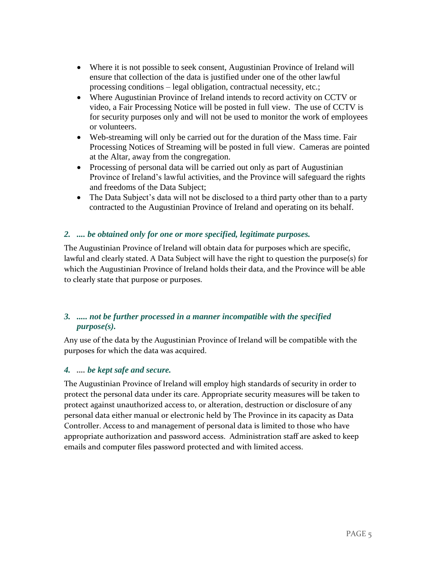- Where it is not possible to seek consent, Augustinian Province of Ireland will ensure that collection of the data is justified under one of the other lawful processing conditions – legal obligation, contractual necessity, etc.;
- Where Augustinian Province of Ireland intends to record activity on CCTV or video, a Fair Processing Notice will be posted in full view. The use of CCTV is for security purposes only and will not be used to monitor the work of employees or volunteers.
- Web-streaming will only be carried out for the duration of the Mass time. Fair Processing Notices of Streaming will be posted in full view. Cameras are pointed at the Altar, away from the congregation.
- Processing of personal data will be carried out only as part of Augustinian Province of Ireland's lawful activities, and the Province will safeguard the rights and freedoms of the Data Subject;
- The Data Subject's data will not be disclosed to a third party other than to a party contracted to the Augustinian Province of Ireland and operating on its behalf.

#### *2. .... be obtained only for one or more specified, legitimate purposes.*

The Augustinian Province of Ireland will obtain data for purposes which are specific, lawful and clearly stated. A Data Subject will have the right to question the purpose(s) for which the Augustinian Province of Ireland holds their data, and the Province will be able to clearly state that purpose or purposes.

#### *3. ..... not be further processed in a manner incompatible with the specified purpose(s).*

Any use of the data by the Augustinian Province of Ireland will be compatible with the purposes for which the data was acquired.

#### *4. .... be kept safe and secure.*

The Augustinian Province of Ireland will employ high standards of security in order to protect the personal data under its care. Appropriate security measures will be taken to protect against unauthorized access to, or alteration, destruction or disclosure of any personal data either manual or electronic held by The Province in its capacity as Data Controller. Access to and management of personal data is limited to those who have appropriate authorization and password access. Administration staff are asked to keep emails and computer files password protected and with limited access.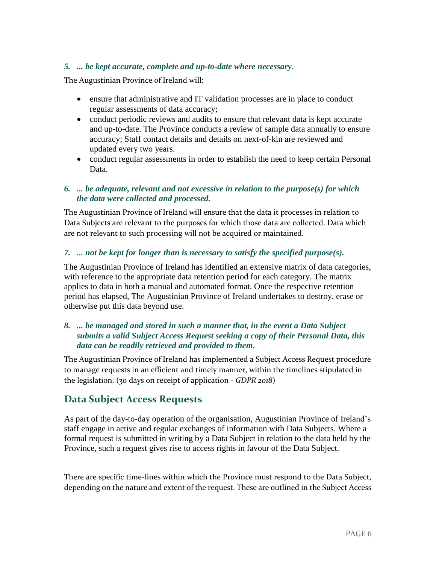#### *5. ... be kept accurate, complete and up-to-date where necessary.*

The Augustinian Province of Ireland will:

- ensure that administrative and IT validation processes are in place to conduct regular assessments of data accuracy;
- conduct periodic reviews and audits to ensure that relevant data is kept accurate and up-to-date. The Province conducts a review of sample data annually to ensure accuracy; Staff contact details and details on next-of-kin are reviewed and updated every two years.
- conduct regular assessments in order to establish the need to keep certain Personal Data.

#### *6. ... be adequate, relevant and not excessive in relation to the purpose(s) for which the data were collected and processed.*

The Augustinian Province of Ireland will ensure that the data it processes in relation to Data Subjects are relevant to the purposes for which those data are collected. Data which are not relevant to such processing will not be acquired or maintained.

#### *7. ... not be kept for longer than is necessary to satisfy the specified purpose(s).*

The Augustinian Province of Ireland has identified an extensive matrix of data categories, with reference to the appropriate data retention period for each category. The matrix applies to data in both a manual and automated format. Once the respective retention period has elapsed, The Augustinian Province of Ireland undertakes to destroy, erase or otherwise put this data beyond use.

#### *8. ... be managed and stored in such a manner that, in the event a Data Subject submits a valid Subject Access Request seeking a copy of their Personal Data, this data can be readily retrieved and provided to them.*

The Augustinian Province of Ireland has implemented a Subject Access Request procedure to manage requests in an efficient and timely manner, within the timelines stipulated in the legislation. (30 days on receipt of application - *GDPR 2018*)

# **Data Subject Access Requests**

As part of the day-to-day operation of the organisation, Augustinian Province of Ireland's staff engage in active and regular exchanges of information with Data Subjects. Where a formal request is submitted in writing by a Data Subject in relation to the data held by the Province, such a request gives rise to access rights in favour of the Data Subject.

There are specific time-lines within which the Province must respond to the Data Subject, depending on the nature and extent of the request. These are outlined in the Subject Access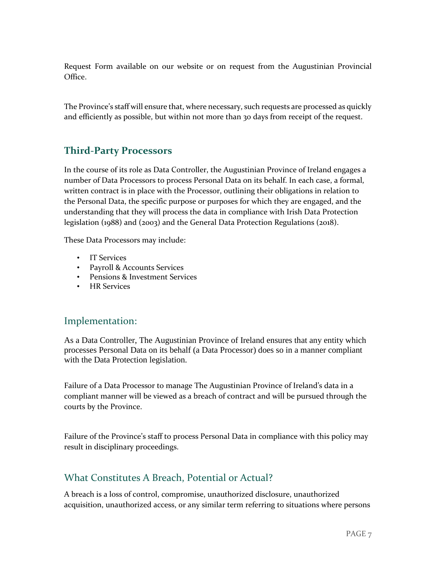Request Form available on our website or on request from the Augustinian Provincial Office.

The Province's staff will ensure that, where necessary, such requests are processed as quickly and efficiently as possible, but within not more than 30 days from receipt of the request.

# **Third-Party Processors**

In the course of its role as Data Controller, the Augustinian Province of Ireland engages a number of Data Processors to process Personal Data on its behalf. In each case, a formal, written contract is in place with the Processor, outlining their obligations in relation to the Personal Data, the specific purpose or purposes for which they are engaged, and the understanding that they will process the data in compliance with Irish Data Protection legislation (1988) and (2003) and the General Data Protection Regulations (2018).

These Data Processors may include:

- IT Services
- Payroll & Accounts Services
- Pensions & Investment Services
- HR Services

# Implementation:

As a Data Controller, The Augustinian Province of Ireland ensures that any entity which processes Personal Data on its behalf (a Data Processor) does so in a manner compliant with the Data Protection legislation.

Failure of a Data Processor to manage The Augustinian Province of Ireland's data in a compliant manner will be viewed as a breach of contract and will be pursued through the courts by the Province.

Failure of the Province's staff to process Personal Data in compliance with this policy may result in disciplinary proceedings.

# What Constitutes A Breach, Potential or Actual?

A breach is a loss of control, compromise, unauthorized disclosure, unauthorized acquisition, unauthorized access, or any similar term referring to situations where persons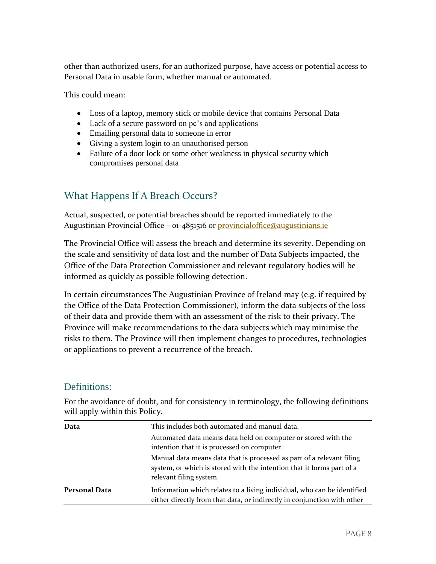other than authorized users, for an authorized purpose, have access or potential access to Personal Data in usable form, whether manual or automated.

This could mean:

- Loss of a laptop, memory stick or mobile device that contains Personal Data
- Lack of a secure password on pc's and applications
- Emailing personal data to someone in error
- Giving a system login to an unauthorised person
- Failure of a door lock or some other weakness in physical security which compromises personal data

# What Happens If A Breach Occurs?

Actual, suspected, or potential breaches should be reported immediately to the Augustinian Provincial Office - 01-4851516 or *provincialoffice@augustinians.ie* 

The Provincial Office will assess the breach and determine its severity. Depending on the scale and sensitivity of data lost and the number of Data Subjects impacted, the Office of the Data Protection Commissioner and relevant regulatory bodies will be informed as quickly as possible following detection.

In certain circumstances The Augustinian Province of Ireland may (e.g. if required by the Office of the Data Protection Commissioner), inform the data subjects of the loss of their data and provide them with an assessment of the risk to their privacy. The Province will make recommendations to the data subjects which may minimise the risks to them. The Province will then implement changes to procedures, technologies or applications to prevent a recurrence of the breach.

# Definitions:

For the avoidance of doubt, and for consistency in terminology, the following definitions will apply within this Policy.

| Data                 | This includes both automated and manual data.<br>Automated data means data held on computer or stored with the<br>intention that it is processed on computer.             |
|----------------------|---------------------------------------------------------------------------------------------------------------------------------------------------------------------------|
|                      | Manual data means data that is processed as part of a relevant filing<br>system, or which is stored with the intention that it forms part of a<br>relevant filing system. |
| <b>Personal Data</b> | Information which relates to a living individual, who can be identified<br>either directly from that data, or indirectly in conjunction with other                        |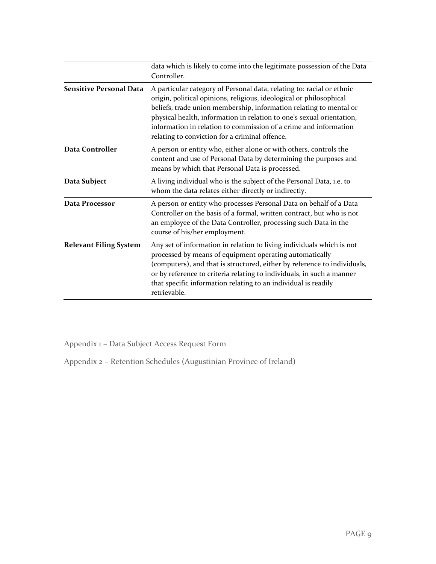|                                | data which is likely to come into the legitimate possession of the Data<br>Controller.                                                                                                                                                                                                                                                                                                                            |
|--------------------------------|-------------------------------------------------------------------------------------------------------------------------------------------------------------------------------------------------------------------------------------------------------------------------------------------------------------------------------------------------------------------------------------------------------------------|
| <b>Sensitive Personal Data</b> | A particular category of Personal data, relating to: racial or ethnic<br>origin, political opinions, religious, ideological or philosophical<br>beliefs, trade union membership, information relating to mental or<br>physical health, information in relation to one's sexual orientation,<br>information in relation to commission of a crime and information<br>relating to conviction for a criminal offence. |
| <b>Data Controller</b>         | A person or entity who, either alone or with others, controls the<br>content and use of Personal Data by determining the purposes and<br>means by which that Personal Data is processed.                                                                                                                                                                                                                          |
| Data Subject                   | A living individual who is the subject of the Personal Data, i.e. to<br>whom the data relates either directly or indirectly.                                                                                                                                                                                                                                                                                      |
| Data Processor                 | A person or entity who processes Personal Data on behalf of a Data<br>Controller on the basis of a formal, written contract, but who is not<br>an employee of the Data Controller, processing such Data in the<br>course of his/her employment.                                                                                                                                                                   |
| <b>Relevant Filing System</b>  | Any set of information in relation to living individuals which is not<br>processed by means of equipment operating automatically<br>(computers), and that is structured, either by reference to individuals,<br>or by reference to criteria relating to individuals, in such a manner<br>that specific information relating to an individual is readily<br>retrievable.                                           |

Appendix 1 – Data Subject Access Request Form

Appendix 2 – Retention Schedules (Augustinian Province of Ireland)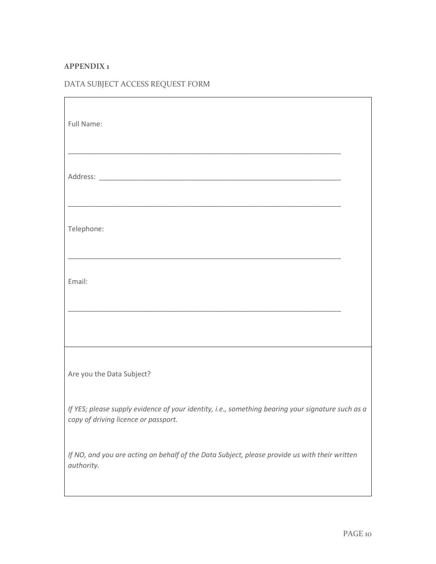### **APPENDIX 1**

# DATA SUBJECT ACCESS REQUEST FORM

| Full Name:                                                                                                                                |  |  |
|-------------------------------------------------------------------------------------------------------------------------------------------|--|--|
|                                                                                                                                           |  |  |
| Telephone:                                                                                                                                |  |  |
| Email:                                                                                                                                    |  |  |
|                                                                                                                                           |  |  |
| Are you the Data Subject?                                                                                                                 |  |  |
| If YES; please supply evidence of your identity, i.e., something bearing your signature such as a<br>copy of driving licence or passport. |  |  |
| If NO, and you are acting on behalf of the Data Subject, please provide us with their written<br>authority.                               |  |  |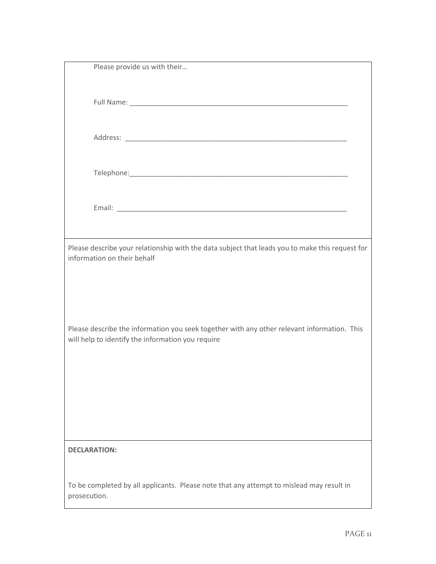| Please provide us with their                                                                    |
|-------------------------------------------------------------------------------------------------|
|                                                                                                 |
|                                                                                                 |
|                                                                                                 |
|                                                                                                 |
|                                                                                                 |
|                                                                                                 |
|                                                                                                 |
|                                                                                                 |
|                                                                                                 |
|                                                                                                 |
|                                                                                                 |
|                                                                                                 |
| Please describe your relationship with the data subject that leads you to make this request for |
| information on their behalf                                                                     |
|                                                                                                 |
|                                                                                                 |
|                                                                                                 |
|                                                                                                 |
| Please describe the information you seek together with any other relevant information. This     |
| will help to identify the information you require                                               |
|                                                                                                 |
|                                                                                                 |
|                                                                                                 |
|                                                                                                 |
|                                                                                                 |
|                                                                                                 |
|                                                                                                 |
| <b>DECLARATION:</b>                                                                             |
|                                                                                                 |
| To be completed by all applicants. Please note that any attempt to mislead may result in        |
| prosecution.                                                                                    |
|                                                                                                 |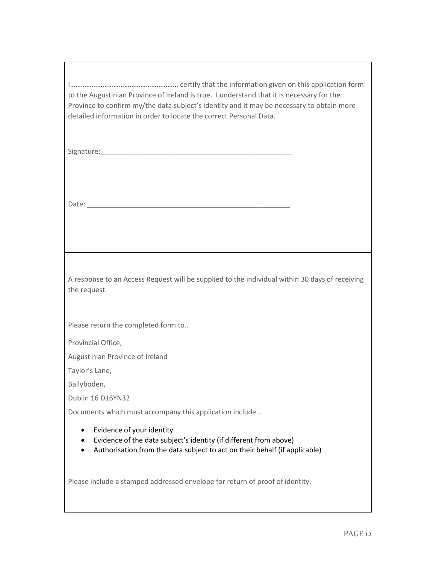I…………………………………………………… certify that the information given on this application form to the Augustinian Province of Ireland is true. I understand that it is necessary for the Province to confirm my/the data subject's identity and it may be necessary to obtain more detailed information in order to locate the correct Personal Data.

Signature:

Date: \_\_\_\_\_\_\_\_\_\_\_\_\_\_\_\_\_\_\_\_\_\_\_\_\_\_\_\_\_\_\_\_\_\_\_\_\_\_\_\_\_\_\_\_\_\_\_\_\_\_\_\_

A response to an Access Request will be supplied to the individual within 30 days of receiving the request.

Please return the completed form to…

Provincial Office,

Augustinian Province of Ireland

Taylor's Lane,

Ballyboden,

Dublin 16 D16YN32

Documents which must accompany this application include…

- Evidence of your identity
- Evidence of the data subject's identity (if different from above)
- Authorisation from the data subject to act on their behalf (if applicable)

Please include a stamped addressed envelope for return of proof of identity.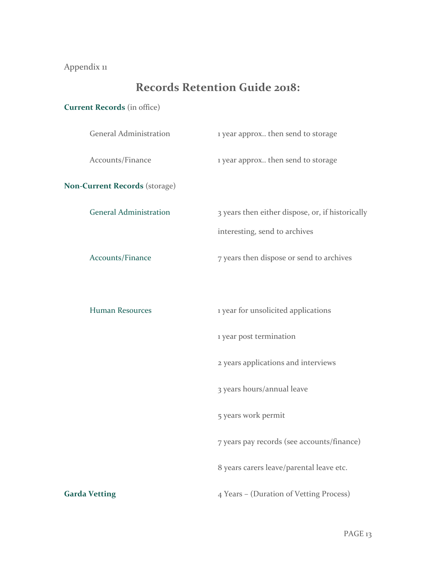# Appendix 11

# **Records Retention Guide 2018:**

# **Current Records** (in office)

| <b>General Administration</b> | 1 year approx then send to storage               |
|-------------------------------|--------------------------------------------------|
| Accounts/Finance              | 1 year approx then send to storage               |
| Non-Current Records (storage) |                                                  |
| <b>General Administration</b> | 3 years then either dispose, or, if historically |
|                               | interesting, send to archives                    |
| Accounts/Finance              | 7 years then dispose or send to archives         |
|                               |                                                  |
| Human Resources               | 1 year for unsolicited applications              |
|                               | 1 year post termination                          |
|                               | 2 years applications and interviews              |
|                               | 3 years hours/annual leave                       |
|                               | 5 years work permit                              |
|                               | 7 years pay records (see accounts/finance)       |
|                               | 8 years carers leave/parental leave etc.         |
| <b>Garda Vetting</b>          | 4 Years - (Duration of Vetting Process)          |